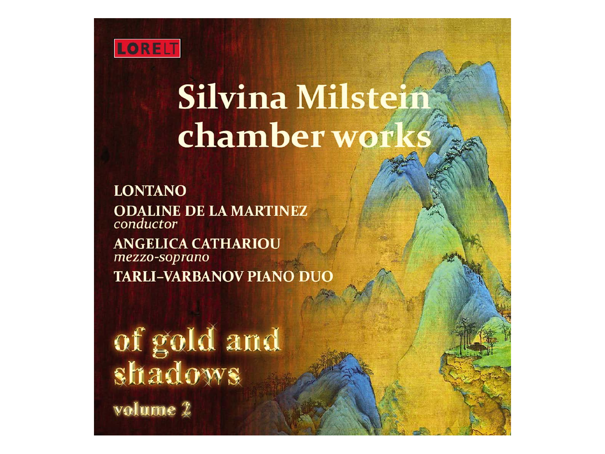

# **Silvina Milstein** chamber worl

**LONTANO ODALINE DE LA MARTINEZ** conductor **ANGELICA CATHARIOU** mezzo-soprano **TARLI-VARBANOV PIANO DUO** 

of gold and<br>shadows volume 2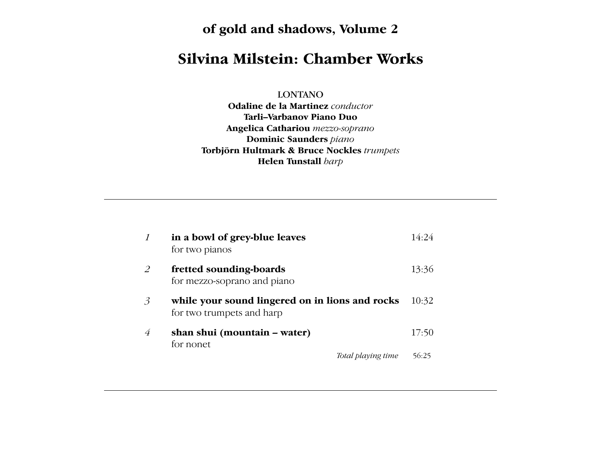**of gold and shadows, Volume 2** Since its foundation in 1976, **Lontano** has been Cuban American composer and conductor

#### **Silvina Milstein: Chamber Works**  $\overline{\phantom{a}}$ and versions of twentieth- and the solution of the solution of the solution of the solution  $\mathbf s$ **Odaline de la Martinez** pursues a demanding and successful cannot control control control control control control control control control control control

LONTANO  $\text{LO}$ and recording  $\overline{O}$ 

**Odaline de la Martinez** conductor **Tarli–Varbanov Piano Duo** Angelica Cathariou mezzo-soprano **Dominic Saunders** piano **Torbjörn Hultmark & Bruce Nockles** *trumpets* **Helen Tunstall** harp

|                | in a bowl of grey-blue leaves<br>for two pianos                              | 14:24 |
|----------------|------------------------------------------------------------------------------|-------|
| 2              | fretted sounding-boards<br>for mezzo-soprano and piano                       | 13:36 |
| $\mathfrak{Z}$ | while your sound lingered on in lions and rocks<br>for two trumpets and harp | 10:32 |
| $\overline{4}$ | shan shui (mountain – water)<br>for nonet                                    | 17:50 |
|                | Total playing time                                                           | 56:25 |

versatile and eclectic vision, and supreme ability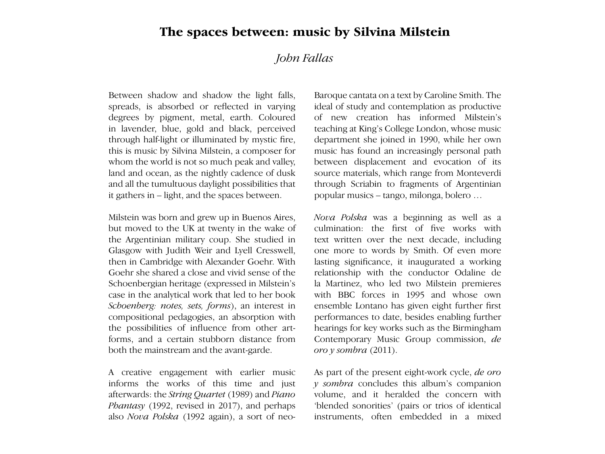## **The spaces between: music by Silvina Milstein**

#### $\overline{r}$  is performed a wide range of operations  $\overline{r}$  is a wide range of operations  $\overline{r}$ including Euridice and Tragedia in Peri's **Varbanov** are both concert pianists with a  $\mu$ assion for unconventional music production  $\mu$ *John Fallas*

Between shadow and shadow the light falls, spreads, is absorbed or reflected in varying degrees by pigment, metal, earth. Coloured in lavender, blue, gold and black, perceived through half-light or illuminated by mystic fire, this is music by Silvina Milstein, a composer for this is music by Silvina Milstein, a composer for<br>whom the world is not so much peak and valley, land and ocean, as the nightly cadence of dusk and all the tumultuous daylight possibilities that it gathers in – light, and the spaces between.

Milstein was born and grew up in Buenos Aires, but moved to the UK at twenty in the wake of the Argentinian military coup. She studied in Glasgow with Judith Weir and Lyell Cresswell, then in Cambridge with Alexander Goehr. With Goehr she shared a close and vivid sense of the Schoenbergian heritage (expressed in Milstein's case in the analytical work that led to her book Schoenberg: notes, sets, forms), an interest in compositional pedagogies, an absorption with the possibilities of influence from other artforms, and a certain stubborn distance from both the mainstream and the avant-garde.

A creative engagement with earlier music informs the works of this time and just afterwards: the *String Quartet* (1989) and *Piano Phantasy* (1992, revised in 2017), and perhaps also *Nova Polska* (1992 again), a sort of neo-

Baroque cantata on a text by Caroline Smith. The ideal of study and contemplation as productive of new creation has informed Milstein's teaching at King's College London, whose music department she joined in 1990, while her own music has found an increasingly personal path music has found an increasingly personal path<br>between displacement and evocation of its source materials, which range from Monteverdi through Scriabin to fragments of Argentinian popular musics – tango, milonga, bolero …

Nova Polska was a beginning as well as a culmination: the first of five works with text written over the next decade, including one more to words by Smith. Of even more lasting significance, it inaugurated a working relationship with the conductor Odaline de la Martinez, who led two Milstein premieres with BBC forces in 1995 and whose own ensemble Lontano has given eight further first performances to date, besides enabling further hearings for key works such as the Birmingham Contemporary Music Group commission, *de oro y sombra* (2011).

As part of the present eight-work cycle, *de oro y sombra* concludes this album's companion volume, and it heralded the concern with 'blended sonorities' (pairs or trios of identical instruments, often embedded in a mixed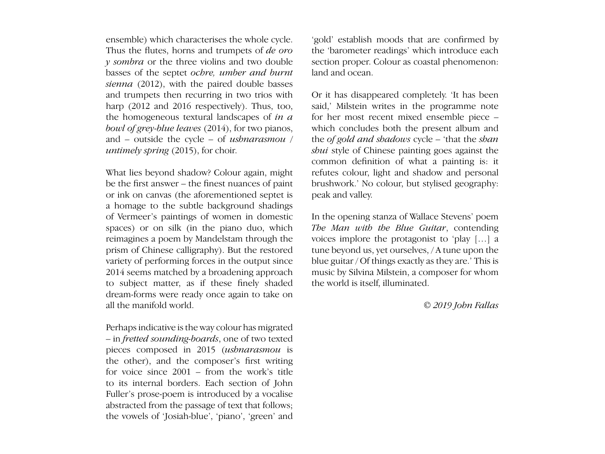ensemble) which characterises the whole cycle. Thus the flutes, horns and trumpets of *de oro* the 'baro *y sombra* or the three violins and two double basses of the septet *ochre, umber and burnt* land and ocean.<br>
A strike of Silvina Milstein method is its sense of mystery – a feeling it are feeling it and a feeling it aro *sienna* (2012), with the paired double basses  $t_{\text{total}}$  (2012), with the panea double basses<br>and trumpets then recurring in two trios with  $\sigma$  or it has disappeared completely. To has been harp (2012 and 2016 respectively). Thus, too, the homogeneous textural landscapes of  $in a$ *bowl of grey-blue leaves* (2014), for two pianos, and – outside the cycle – of *ushnarasmou / untimely spring* (2015), for choir. harp (2012 and 2016 respectively). Thus, too, said,' Milstein writes in the programme note and – outside the cycle – of *ushnarasmou* / the of gold and shadows cycle – 'that the shan

What lies beyond shadow? Colour again, might be the first answer – the finest nuances of paint brushwork.' No colour, b or ink on canvas (the aforementioned septet is a homage to the subtle background shadings of Vermeer's paintings of women in domestic spaces) or on silk (in the piano duo, which reimagines a poem by Mandelstam through the prism of Chinese calligraphy). But the restored variety of performing forces in the output since variety of performing forces in the output since 2014 seems matched by a broadening approach to subject matter, as if these finely shaded dream-forms were ready once again to take on all the manifold world.  $\degree$  of mediators where space, time and materiality of  $\degree$  2019 John Fallas of Vermeer's paintings of women in domestic In the opening stanza of Wallace Stevens' poem spaces) or on silk (in the piano duo, which The Man with the Blue Guitar, contending reimagines a poem by Mandelstam through the voices implore the protagonist to 'play [...] a plus in or chinese cangraphy). But the restored the beyond us, yet ourselves, *A* tune upon the variety of performing forces in the output since blue guitar / Of things exactly as they are.' This is

Perhaps indicative is the way colour has migrated  $-$  in *fretted sounding-boards*, one of two texted pieces composed in 2015 (*ushnarasmou* is the other), and the composer's first writing for voice since  $2001$  – from the work's title to its internal borders. Each section of John Fuller's prose-poem is introduced by a vocalise abstracted from the passage of text that follows; the vowels of 'Josiah-blue', 'piano', 'green' and

'gold' establish moods that are confirmed by the 'barometer readings' which introduce each section proper. Colour as coastal phenomenon: land and ocean.

Or it has disappeared completely. 'It has been for her most recent mixed ensemble piece – which concludes both the present album and *shui* style of Chinese painting goes against the common definition of what a painting is: it nat lies beyond shadow? Colour again, might refutes colour, light and shadow and personal brushwork.' No colour, but stylised geography: peak and valley.

> tune beyond us, yet ourselves, / A tune upon the music by Silvina Milstein, a composer for whom the world is itself, illuminated.

> > *© 2019 John Fallas*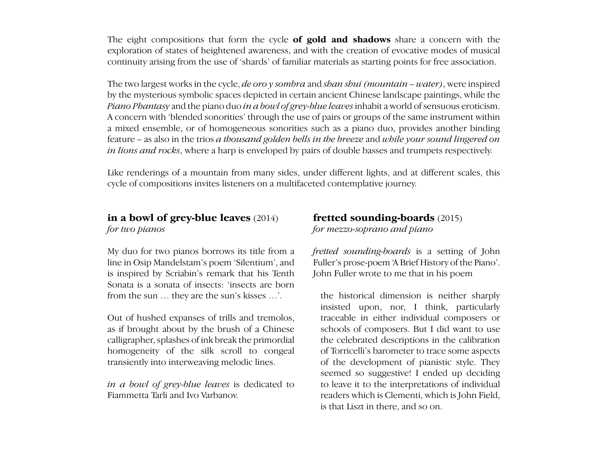The eight compositions that form the cycle **of gold and shadows** share a concern with the exploration of states of heightened awareness, and with the creation of evocative modes of musical continuity arising from the use of 'shards' of familiar materials as starting points for free association.

The term less optimologie to the grade of comparison through the mystery:  $(\omega, \omega)$  into  $)$  means in oriented Inc two largest works in the cycle, *de oro y somord* and *span span (modifiem – water)*, were fisphed<br>by the mysterious symbolic spaces depicted in certain ancient Chinese landscape paintings, while the Silvina took as the title of another composition, 'surrounded by distance'. A similar evocation *Piano Phantasy* and the piano duo *in a bowl of grey-blue leaves* inhabit a world of sensuous eroticism. A concern with 'blended sonorities' through the use of pairs or groups of the same instrument within a mixed ensemble, or of homogeneous sonorities such as a piano duo, provides another binding feature – as also in the trios a thousand golden bells in the breeze and while your sound lingered on *in lions and rocks*, where a harp is enveloped by pairs of double basses and trumpets respectively. The two largest works in the cycle, *de oro y sombra* and *shan shui (mountain – water)*, were inspired

Like renderings of a mountain from many sides, under different lights, and at different scales, this cycle of compositions invites listeners on a multifaceted contemplative journey. cycle of compositions invites listeners on a multifaceted contemplative journey.

#### in a bowl of grey-blue leaves  $(2014)$ for two pianos *for mezzo-soprano and piano for two pianos*

is such a world that Silvina Milstein's music invites us to enter. *© 2019 Francesca Fremantle* Sonata is a sonata of insects: 'insects are born in a bowl of grey-blue leaves (2014) free<br>for two pianos for two pianos for the form after<br>line in Osip Mandelstam's poem 'Silentium', and Full<br>is inspired by Scriabin's remark that his Tenth John<br>Sonata is a sonata of ins My duo for two pianos borrows its title from a line in Osip Mandelstam's poem 'Silentium', and is inspired by Scriabin's remark that his Tenth from the sun … they are the sun's kisses …'.

Out of hushed expanses of trills and tremolos, traceable in either individual composers or as if brought about by the brush of a Chinese schools of components in  $\mathcal{L}$ calligrapher, splashes of ink break the primordial homogeneity of the silk scroll to congeal transiently into interweaving melodic lines.

*in a bowl of grey-blue leaves* is dedicated to Fiammetta Tarli and Ivo Varbanov.

# **fretted sounding-boards** (2015)

*fretted sounding-boards* is a setting of John Fuller's prose-poem 'A Brief History of the Piano'. John Fuller wrote to me that in his poem

*A renowned scholar of Sanskrit and Tibetan tantra, Francesca Fremantle is the authority*  $\alpha$ the historical dimension is neither sharply traceable in either individual composers or schools of composers. But I did want to use the celebrated descriptions in the calibration of Torricelli's barometer to trace some aspects of the development of pianistic style. They seemed so suggestive! I ended up deciding to leave it to the interpretations of individual readers which is Clementi, which is John Field, is that Liszt in there, and so on.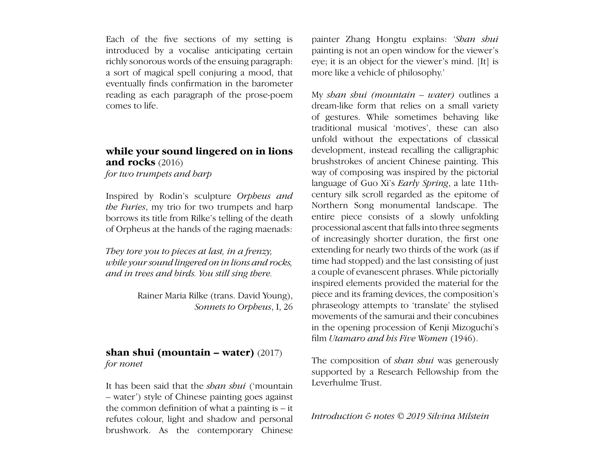Each of the five sections of my setting is introduced by a vocalise anticipating certain richly sonorous words of the ensuing paragraph: a sort of magical spell conjuring a mood, that eventually finds confirmation in the barometer reading as each paragraph of the prose-poem comes to life.

#### **while your sound lingered on in lions and rocks** (2016)

*for two trumpets and harp*

Inspired by Rodin's sculpture *Orpheus and the Furies*, my trio for two trumpets and harp borrows its title from Rilke's telling of the death of Orpheus at the hands of the raging maenads:

*They tore you to pieces at last, in a frenzy, while your sound lingered on in lions and rocks, and in trees and birds. You still sing there.*

> Rainer Maria Rilke (trans. David Young), *Sonnets to Orpheus*, I, 26

#### **shan shui (mountain – water)** (2017) *for nonet*

It has been said that the *shan shui* ('mountain – water') style of Chinese painting goes against the common definition of what a painting is – it refutes colour, light and shadow and personal brushwork. As the contemporary Chinese painter Zhang Hongtu explains: '*Shan shui* painting is not an open window for the viewer's eye; it is an object for the viewer's mind. [It] is more like a vehicle of philosophy.'

My *shan shui (mountain – water)* outlines a dream-like form that relies on a small variety of gestures. While sometimes behaving like traditional musical 'motives', these can also unfold without the expectations of classical development, instead recalling the calligraphic brushstrokes of ancient Chinese painting. This way of composing was inspired by the pictorial language of Guo Xi's *Early Spring*, a late 11thcentury silk scroll regarded as the epitome of Northern Song monumental landscape. The entire piece consists of a slowly unfolding processional ascent that falls into three segments of increasingly shorter duration, the first one extending for nearly two thirds of the work (as if time had stopped) and the last consisting of just a couple of evanescent phrases. While pictorially inspired elements provided the material for the piece and its framing devices, the composition's phraseology attempts to 'translate' the stylised movements of the samurai and their concubines in the opening procession of Kenji Mizoguchi's film *Utamaro and his Five Women* (1946).

The composition of *shan shui* was generously supported by a Research Fellowship from the Leverhulme Trust.

*Introduction & notes © 2019 Silvina Milstein*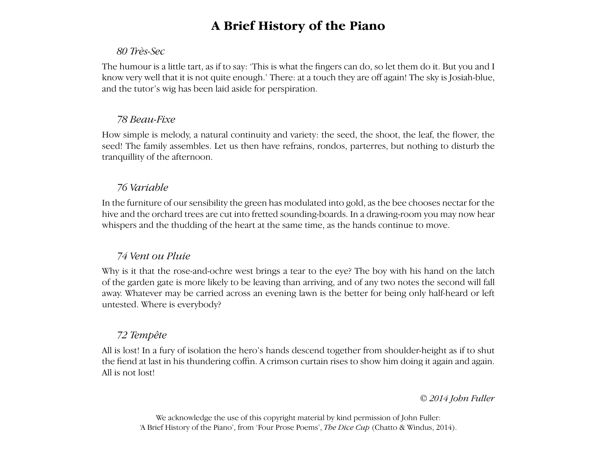## **A Brief History of the Piano**

#### *80 Très-Sec*

The humour is a little tart, as if to say: 'This is what the fingers can do, so let them do it. But you and I know very well that it is not quite enough.' There: at a touch they are off again! The sky is Josiah-blue, and the tutor's wig has been laid aside for perspiration.

#### *78 Beau-Fixe*

How simple is melody, a natural continuity and variety: the seed, the shoot, the leaf, the flower, the seed! The family assembles. Let us then have refrains, rondos, parterres, but nothing to disturb the tranquillity of the afternoon.

#### *76 Variable*

In the furniture of our sensibility the green has modulated into gold, as the bee chooses nectar for the hive and the orchard trees are cut into fretted sounding-boards. In a drawing-room you may now hear whispers and the thudding of the heart at the same time, as the hands continue to move.

#### *74 Vent ou Pluie*

Why is it that the rose-and-ochre west brings a tear to the eye? The boy with his hand on the latch of the garden gate is more likely to be leaving than arriving, and of any two notes the second will fall away. Whatever may be carried across an evening lawn is the better for being only half-heard or left untested. Where is everybody?

#### *72 Tempête*

All is lost! In a fury of isolation the hero's hands descend together from shoulder-height as if to shut the fiend at last in his thundering coffin. A crimson curtain rises to show him doing it again and again. All is not lost!

#### *© 2014 John Fuller*

We acknowledge the use of this copyright material by kind permission of John Fuller: 'A Brief History of the Piano', from 'Four Prose Poems', *The Dice Cup* (Chatto & Windus, 2014).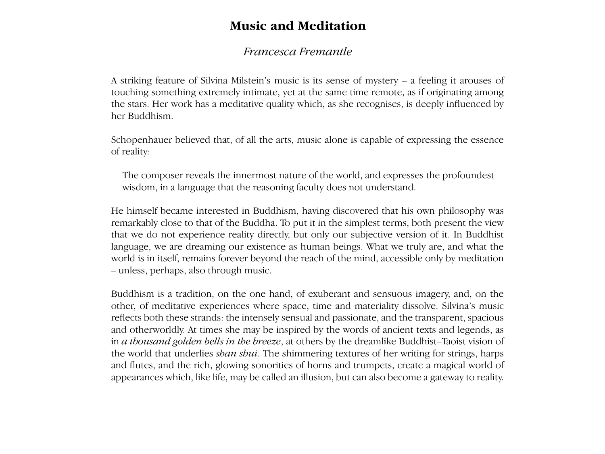### **Music and Meditation**

#### **Francesca Fremantle** 'gold' establish moods that are confirmed by

A striking feature of Silvina Milstein's music is its sense of mystery – a feeling it arouses of touching something extremely intimate, yet at the same time remote, as if originating among the pair of the pair of the pair of the pair of the pair of the pair of the pair of the pair of the pair of the pair of the pair o the stars. Her work has a meditative quality which, as she recognises, is deeply influenced by her Buddhism. the stars. Here work has a meditative quality  $v$ Counce une remove, as a originalist among  $\mu$ , as she recognises, is deeply immunically

Schopenhauer believed that, of all the arts, music alone is capable of expressing the essence of reality: *bowl of grey-blue leaves* (2014), for two pianos, schopenhauer believed that, of all the arts, **r** which concludes both the present album and  $\mu$ c alone is capable of expressing the essence

The composer reveals the innermost nature of the world, and expresses the profoundest wisdom, in a language that the reasoning faculty does not understand.

He himself became interested in Buddhism, having discovered that his own philosophy was remarkably close to that of the Buddha. To put it in the simplest terms, both present the view that we do not experience reality directly, but only our subjective version of it. In Buddhist language, we are dreaming our existence as human beings. What we truly are, and what the margings, we are arealing our ensitence as righting beings. What we trary are, and what the world is in itself, remains forever beyond the reach of the mind, accessible only by meditation word is in tisen, remains forced beyond the  $-$  unless, perhaps, also through music. – unicss, perhaps, also through music.  $\mu$  of the filling, accessible only by incuration

Buddhism is a tradition, on the one hand, of exuberant and sensuous imagery, and, on the other, of meditative experiences where space, time and materiality dissolve. Silvina's music reflects both these strands: the intensely sensual and passionate, and the transparent, spacious and otherworldly. At times she may be inspired by the words of ancient texts and legends, as in *a thousand golden bells in the breeze*, at others by the dreamlike Buddhist–Taoist vision of the world that underlies *shan shui*. The shimmering textures of her writing for strings, harps and flutes, and the rich, glowing sonorities of horns and trumpets, create a magical world of appearances which, like life, may be called an illusion, but can also become a gateway to reality.  $\sim$  to subject matter, as if the finely shaded in the finely shaded in the finely shaded in the finely shaded in the finely shaded in the finely shaded in the finely shaded in the finely shaded in the finely shaded in th  $\alpha$  buddhism is a tradition, on the one hand,  $\alpha$ to its internal borders. Each section of John the world is itself, illuminated. is the simplest terms, both present the view<br>y our subjective version of it. In Buddhist<br>in beings. What we truly are, and what the<br>of the mind, accessible only by meditation<br>berant and sensuous imagery, and, on the<br>e and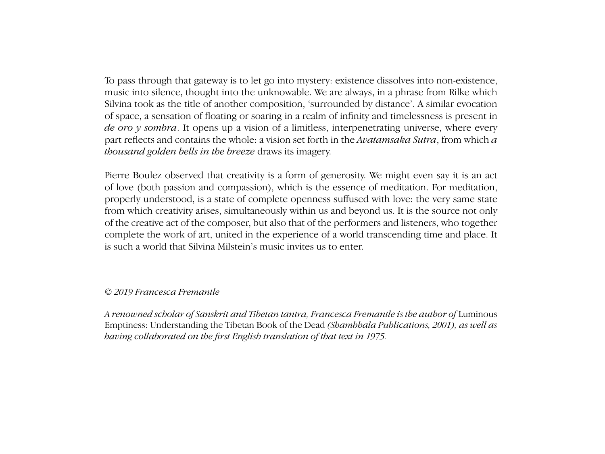The two largest works in the cycle, *de oro y sombra* and *shan shui (mountain – water)*, were inspired music into silence, thought into the unknowable. We are always, in a phrase from Rilke which by the must are shorted, thought measure antinomatic. We are always, in a phase from take which Silvina took as the title of another composition, 'surrounded by distance'. A similar evocation *Phyma* took as the three of another composition, surrounded by distance . A similar evocation of space, a sensation of floating or soaring in a realm of infinity and timelessness is present in *de oro y sombra*. It opens up a vision of a limitless, interpenetrating universe, where every part reflects and contains the whole: a vision set forth in the Avatamsaka Sutra, from which a *thousand golden bells in the breeze* draws its imagery. To pass through that gateway is to let go into mystery: existence dissolves into non-existence,

Pierre Boulez observed that creativity is a form of generosity. We might even say it is an act Pierre Boulez observed that creativity is a form of generosity. We might even say it is an act<br>of love (both passion and compassion), which is the essence of meditation. For meditation, of the creative act of the composer, but also that of the performers and listeners, who together complete the work of art, united in the experience of a world transcending time and place. It properly understood, is a state of complete openness suffused with love: the very same state from which creativity arises, simultaneously within us and beyond us. It is the source not only is such a world that Silvina Milstein's music invites us to enter.

#### © 2019 Francesca Fremantle  $f = 1$  , which is kind  $\mathcal{L}$

.<br>*A renowned scholar of Sanskrit and Tibetan tantra, Francesca Fremantle is the author of* Luminous traceable in either individual composers or Out of hushed expanses of trills and tremolos, Emptiness: Understanding the Tibetan Book of the Dead *(Shambhala Publications, 2001), as well as*  schools of composers. But I did want to use as if brought about by the brush of a Chinese  $t_{\rm max}$  the celebration  $\frac{1}{2}$ calligrapher splashes of interesting the property of the primordial the primordial theorem in the primordial of  $\sim$ *having collaborated on the first English translation of that text in 1975.*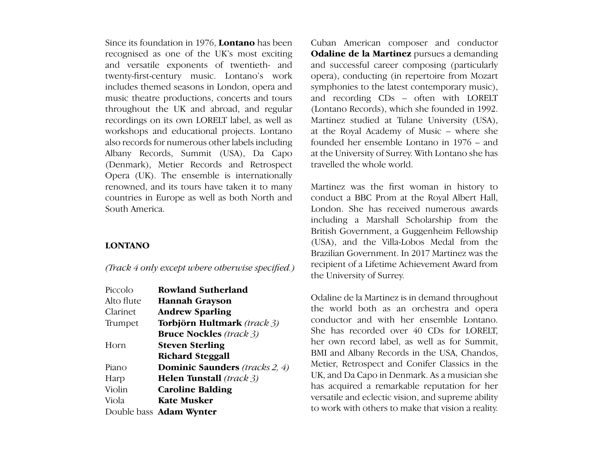Since its foundation in 1976, **Lontano** has been recognised as one of the UK's most exciting and versatile exponents of twentieth- and twenty-first-century music. Lontano's work includes themed seasons in London, opera and music theatre productions, concerts and tours and throughout the UK and abroad, and regular (Lontano Record recordings on its own LORELT label, as well as workshops and educational projects. Lontano at the Royal Ac also records for numerous other labels including **bunded** he Albany Records, Summit (USA), Da Capo at the University of Suri (Denmark), Metier Records and Retrospect travelled Opera (UK). The ensemble is internationally renowned, and its tours have taken it to many countries in Europe as well as both North and South America. **of gold and shadows, Volume 2**

#### **LONTANO**

*(Track 4 only except where otherwise specified.)*

| Piccolo    | Rowland Sutherland                    |
|------------|---------------------------------------|
| Alto flute | <b>Hannah Grayson</b>                 |
| Clarinet   | <b>Andrew Sparling</b>                |
| Trumpet    | Torbjörn Hultmark (track 3)           |
|            | <b>Bruce Nockles</b> (track 3)        |
| Horn       | <b>Steven Sterling</b>                |
|            | <b>Richard Steggall</b>               |
| Piano      | <b>Dominic Saunders</b> (tracks 2, 4) |
| Harp       | <b>Helen Tunstall</b> (track 3)       |
| Violin     | <b>Caroline Balding</b>               |
| Viola      | Kate Musker                           |
|            | Double bass <b>Adam Wynter</b>        |

Cuban American composer and conductor **Odaline de la Martinez** pursues a demanding being the state of twentieth- and and successful career composing (particularly opera), conducting (in repertoire from Mozart symphonies to the latest contemporary music), and recording CDs – often with LORELT (Lontano Records), which she founded in 1992. el, as well as Martinez studied at Tulane University (USA), at the Royal Academy of Music – where she founded her ensemble Lontano in 1976 – and at the University of Surrey. With Lontano she has travelled the whole world.

Martinez was the first woman in history to conduct a BBC Prom at the Royal Albert Hall, London. She has received numerous awards including a Marshall Scholarship from the British Government, a Guggenheim Fellowship **1** (USA), and the Villa-Lobos Medal from the Brazilian Government. In 2017 Martinez was the recipient of a Lifetime Achievement Award from *the* University of Surrey.

Odaline de la Martinez is in demand throughout **Example 120:33**<br> **3 Andrew Sparling 3 ince the world both as an orchestra and opera** conductor and with her ensemble Lontano. She has recorded over 40 CDs for LORELT, **her own record label, as well as for Summit,**<br> **Steven Sterling** her own record label, as well as for Summit, BMI and Albany Records in the USA, Chandos, **Exercise 3 Register See Section**<br> *Metier, Retrospect and Conifer Classics in the* **<b>***Dominic Saunders (tracks 2 4)* Metier, Retrospect and Conifer Classics in the UK, and Da Capo in Denmark. As a musician she has acquired a remarkable reputation for her versatile and eclectic vision, and supreme ability to work with others to make that vision a reality.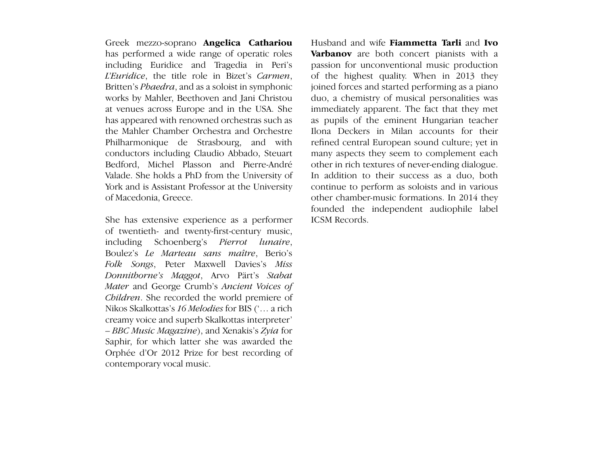Greek mezzo-soprano **Angelica Cathariou** Husband and wife **Fiammetta T** *John Fallas* including Euridice and Tragedia in Peri's works by Mahler, Beethoven and Jani Christou at venues across Europe and in the USA. She has appeared with renowned orchestras such as the Mahler Chamber Orchestra and Orchestre Philharmonique de Strasbourg, and with conductors including Claudio Abbado, Steuart Bedford, Michel Plasson and Pierre-André Valade. She holds a PhD from the University of York and is Assistant Professor at the University<br>of Macedonia, Greece. of Macedonia. Greece. has performed a wide range of operatic roles *L'Euridice*, the title role in Bizet's *Carmen*, Britten's *Phaedra*, and as a soloist in symphonic

She has extensive experience as a performer of twentieth- and twenty-first-century music, including Schoenberg's Pierrot lunaire, Boulez's Le Marteau sans maître, Berio's then in Cambridge with Alexander Goehr. With *Folk Songs*, Peter Maxwell Davies's *Miss*  Goehr she shared a close and vivid sense of the *Donnithorne's Maggot*, Arvo Pärt's *Stabat*  Mater and George Crumb's Ancient Voices of Children. She recorded the world premiere of *Nikos Skalkottas's 16 Melodies for BIS ('... a rich* Nikos Skalkottas's *16 Melodies* for BIS ('… a rich<br>creamy voice and superb Skalkottas interpreter' – *BBC Music Magazine*), and Xenakis's *Zyia* for Saphir, for which latter she was awarded the Orphée d'Or 2012 Prize for best recording of contemporary vocal music.

duo, a chemistry of musical personalities was immediately apparent. The fact that they met as pupils of the eminent Hungarian teacher Ilona Deckers in Milan accounts for their refined central European sound culture; yet in many aspects they seem to complement each other in rich textures of never-ending dialogue. In addition to their success as a duo, both continue to perform as soloists and in various continue to perform as soloists and in various<br>other chamber-music formations. In 2014 they ICSM Records. Husband and wife **Fiammetta Tarli** and **Ivo Varbanov** are both concert pianists with a passion for unconventional music production of the highest quality. When in 2013 they joined forces and started performing as a piano founded the independent audiophile label